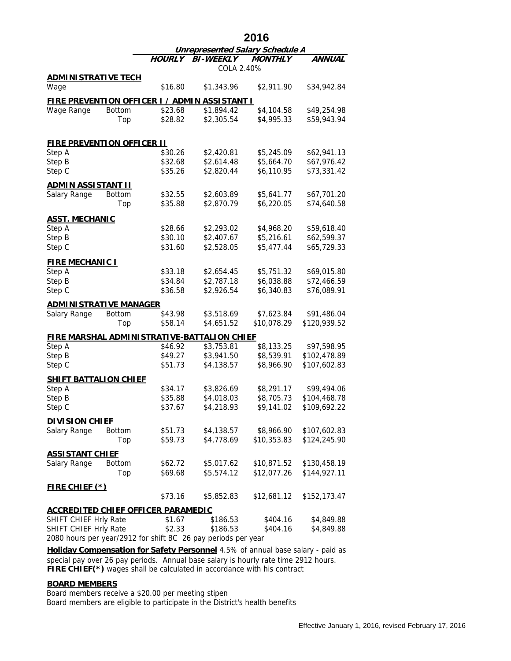|                                           |               | 2016                                   |                                                               |                            |                              |  |
|-------------------------------------------|---------------|----------------------------------------|---------------------------------------------------------------|----------------------------|------------------------------|--|
|                                           |               | <b>Unrepresented Salary Schedule A</b> |                                                               |                            |                              |  |
|                                           |               | HOURLY                                 | <b>BI-WEEKLY</b><br>COLA 2.40%                                | <b>MONTHLY</b>             | ANNUAL                       |  |
| <u>ADMINISTRATIVE TECH</u>                |               |                                        |                                                               |                            |                              |  |
| Wage                                      |               | \$16.80                                | \$1,343.96                                                    | \$2,911.90                 | \$34,942.84                  |  |
|                                           |               |                                        | <u>FIRE PREVENTION OFFICER I / ADMIN ASSISTANT I</u>          |                            |                              |  |
| Wage Range                                | <b>Bottom</b> | \$23.68                                | \$1,894.42                                                    | \$4,104.58                 | \$49,254.98                  |  |
|                                           | Top           | \$28.82                                | \$2,305.54                                                    | \$4,995.33                 | \$59,943.94                  |  |
| <u>FIRE PREVENTION OFFICER II</u>         |               |                                        |                                                               |                            |                              |  |
| Step A                                    |               | \$30.26                                | \$2,420.81                                                    | \$5,245.09                 | \$62,941.13                  |  |
| Step B                                    |               | \$32.68                                | \$2,614.48                                                    | \$5,664.70                 | \$67,976.42                  |  |
| Step C                                    |               | \$35.26                                | \$2,820.44                                                    | \$6,110.95                 | \$73,331.42                  |  |
| <u>ADMIN ASSISTANT II</u>                 |               |                                        |                                                               |                            |                              |  |
| Salary Range                              | <b>Bottom</b> | \$32.55                                | \$2,603.89                                                    | \$5,641.77                 | \$67,701.20                  |  |
|                                           | Top           | \$35.88                                | \$2,870.79                                                    | \$6,220.05                 | \$74,640.58                  |  |
| <u>ASST. MECHANIC</u>                     |               |                                        |                                                               |                            |                              |  |
| Step A                                    |               | \$28.66                                | \$2,293.02                                                    | \$4,968.20                 | \$59,618.40                  |  |
| Step B                                    |               | \$30.10                                | \$2,407.67                                                    | \$5,216.61                 | \$62,599.37                  |  |
| Step C                                    |               | \$31.60                                | \$2,528.05                                                    | \$5,477.44                 | \$65,729.33                  |  |
| <b>FIRE MECHANIC I</b>                    |               |                                        |                                                               |                            |                              |  |
| Step A                                    |               | \$33.18                                | \$2,654.45                                                    | \$5,751.32                 | \$69,015.80                  |  |
| Step B                                    |               | \$34.84                                | \$2,787.18                                                    | \$6,038.88                 | \$72,466.59                  |  |
| Step C                                    |               | \$36.58                                | \$2,926.54                                                    | \$6,340.83                 | \$76,089.91                  |  |
| <u>ADMINISTRATIVE MANAGER</u>             |               |                                        |                                                               |                            |                              |  |
| Salary Range                              | <b>Bottom</b> | \$43.98                                | \$3,518.69                                                    | \$7,623.84                 | \$91,486.04                  |  |
|                                           | Top           | \$58.14                                | \$4,651.52                                                    | \$10,078.29                | \$120,939.52                 |  |
|                                           |               |                                        | <u>FIRE MARSHAL ADMINISTRATIVE-BATTALION CHIEF</u>            |                            |                              |  |
| Step A                                    |               | \$46.92                                | \$3,753.81                                                    | \$8,133.25                 | \$97,598.95                  |  |
| Step B                                    |               | \$49.27                                | \$3,941.50                                                    | \$8,539.91                 | \$102,478.89                 |  |
| Step C                                    |               | \$51.73                                | \$4,138.57                                                    | \$8,966.90                 | \$107,602.83                 |  |
| <u>SHIFT BATTALION CHIEF</u>              |               |                                        |                                                               |                            |                              |  |
| Step A                                    |               | \$34.17                                | \$3,826.69                                                    | \$8,291.17                 | \$99,494.06                  |  |
| Step B                                    |               | \$35.88                                | \$4,018.03                                                    | \$8,705.73                 | \$104,468.78                 |  |
| Step C                                    |               | \$37.67                                | \$4,218.93                                                    | \$9,141.02                 | \$109,692.22                 |  |
| <b>DIVISION CHIEF</b>                     |               |                                        |                                                               |                            |                              |  |
| Salary Range                              | <b>Bottom</b> | \$51.73<br>\$59.73                     | \$4,138.57<br>\$4,778.69                                      | \$8,966.90<br>\$10,353.83  | \$107,602.83<br>\$124,245.90 |  |
|                                           | Top           |                                        |                                                               |                            |                              |  |
| <u>ASSISTANT CHIEF</u><br>Salary Range    | <b>Bottom</b> |                                        |                                                               |                            | \$130,458.19                 |  |
|                                           | Top           | \$62.72<br>\$69.68                     | \$5,017.62<br>\$5,574.12                                      | \$10,871.52<br>\$12,077.26 | \$144,927.11                 |  |
|                                           |               |                                        |                                                               |                            |                              |  |
| <u>FIRE CHIEF (*)</u>                     |               | \$73.16                                | \$5,852.83                                                    | \$12,681.12                | \$152,173.47                 |  |
| <u>ACCREDITED CHIEF OFFICER PARAMEDIC</u> |               |                                        |                                                               |                            |                              |  |
| SHIFT CHIEF Hrly Rate                     |               | \$1.67                                 | \$186.53                                                      | \$404.16                   | \$4,849.88                   |  |
| SHIFT CHIEF Hrly Rate                     |               | \$2.33                                 | \$186.53                                                      | \$404.16                   | \$4,849.88                   |  |
|                                           |               |                                        | 2080 hours per year/2912 for shift BC 26 pay periods per year |                            |                              |  |

**FIRE CHIEF(\*)** wages shall be calculated in accordance with his contract **Holiday Compensation for Safety Personnel** 4.5% of annual base salary - paid as special pay over 26 pay periods. Annual base salary is hourly rate time 2912 hours.

## **BOARD MEMBERS**

Board members receive a \$20.00 per meeting stipen Board members are eligible to participate in the District's health benefits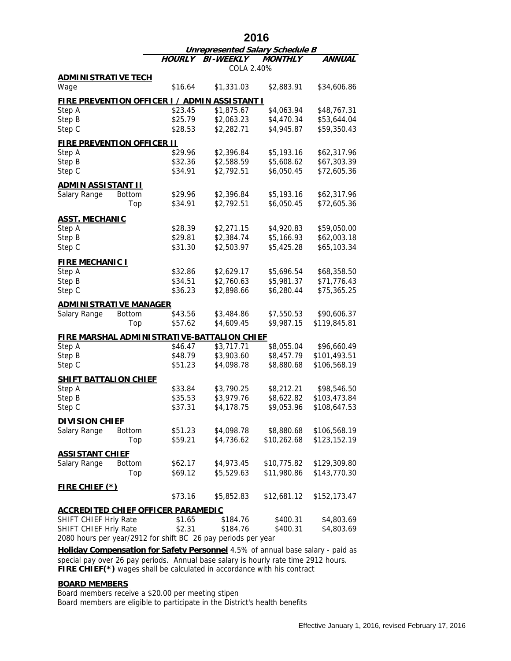|                                             |                      | 2016               |                                                                    |                            |                              |  |
|---------------------------------------------|----------------------|--------------------|--------------------------------------------------------------------|----------------------------|------------------------------|--|
|                                             |                      |                    | <b>Unrepresented Salary Schedule B</b>                             |                            |                              |  |
|                                             |                      | HOURLY             | <b>BI-WEEKLY</b><br>COLA 2.40%                                     | <b>MONTHLY</b>             | ANNUAL                       |  |
| <b>ADMINISTRATIVE TECH</b>                  |                      |                    |                                                                    |                            |                              |  |
| Wage                                        |                      | \$16.64            | \$1,331.03                                                         | \$2,883.91                 | \$34,606.86                  |  |
|                                             |                      |                    |                                                                    |                            |                              |  |
| Step A                                      |                      | \$23.45            | <b>FIRE PREVENTION OFFICER I / ADMIN ASSISTANT I</b><br>\$1,875.67 | \$4,063.94                 | \$48,767.31                  |  |
| Step B                                      |                      | \$25.79            | \$2,063.23                                                         | \$4,470.34                 | \$53,644.04                  |  |
| Step C                                      |                      | \$28.53            | \$2,282.71                                                         | \$4,945.87                 | \$59,350.43                  |  |
|                                             |                      |                    |                                                                    |                            |                              |  |
| <b>FIRE PREVENTION OFFICER II</b><br>Step A |                      | \$29.96            | \$2,396.84                                                         | \$5,193.16                 | \$62,317.96                  |  |
| Step B                                      |                      | \$32.36            | \$2,588.59                                                         | \$5,608.62                 | \$67,303.39                  |  |
| Step C                                      |                      | \$34.91            | \$2,792.51                                                         | \$6,050.45                 | \$72,605.36                  |  |
|                                             |                      |                    |                                                                    |                            |                              |  |
| <b>ADMIN ASSISTANT II</b><br>Salary Range   | <b>Bottom</b>        | \$29.96            | \$2,396.84                                                         | \$5,193.16                 | \$62,317.96                  |  |
|                                             | Top                  | \$34.91            | \$2,792.51                                                         | \$6,050.45                 | \$72,605.36                  |  |
|                                             |                      |                    |                                                                    |                            |                              |  |
| <b>ASST. MECHANIC</b>                       |                      |                    |                                                                    |                            |                              |  |
| Step A                                      |                      | \$28.39            | \$2,271.15                                                         | \$4,920.83                 | \$59,050.00                  |  |
| Step B                                      |                      | \$29.81            | \$2,384.74                                                         | \$5,166.93                 | \$62,003.18                  |  |
| Step C                                      |                      | \$31.30            | \$2,503.97                                                         | \$5,425.28                 | \$65,103.34                  |  |
| <b>FIRE MECHANIC I</b>                      |                      |                    |                                                                    |                            |                              |  |
| Step A                                      |                      | \$32.86            | \$2,629.17                                                         | \$5,696.54                 | \$68,358.50                  |  |
| Step B                                      |                      | \$34.51            | \$2,760.63                                                         | \$5,981.37                 | \$71,776.43                  |  |
| Step C                                      |                      | \$36.23            | \$2,898.66                                                         | \$6,280.44                 | \$75,365.25                  |  |
| <b>ADMINISTRATIVE MANAGER</b>               |                      |                    |                                                                    |                            |                              |  |
| Salary Range                                | <b>Bottom</b>        | \$43.56            | \$3,484.86                                                         | \$7,550.53                 | \$90,606.37                  |  |
|                                             | Top                  | \$57.62            | \$4,609.45                                                         | \$9,987.15                 | \$119,845.81                 |  |
|                                             |                      |                    | <b>FIRE MARSHAL ADMINISTRATIVE-BATTALION CHIEF</b>                 |                            |                              |  |
| Step A                                      |                      | \$46.47            | \$3,717.71                                                         | \$8,055.04                 | \$96,660.49                  |  |
| Step B                                      |                      | \$48.79            | \$3,903.60                                                         | \$8,457.79                 | \$101,493.51                 |  |
| Step C                                      |                      | \$51.23            | \$4,098.78                                                         | \$8,880.68                 | \$106,568.19                 |  |
| <u>SHIFT BATTALION CHIEF</u>                |                      |                    |                                                                    |                            |                              |  |
| Step A                                      |                      | \$33.84            | \$3,790.25                                                         | \$8,212.21                 | \$98,546.50                  |  |
| Step B                                      |                      | \$35.53            | \$3,979.76                                                         | \$8,622.82                 | \$103,473.84                 |  |
| Step C                                      |                      | \$37.31            | \$4,178.75                                                         | \$9,053.96                 | \$108,647.53                 |  |
| <b>DIVISION CHIEF</b>                       |                      |                    |                                                                    |                            |                              |  |
| Salary Range                                | <b>Bottom</b>        | \$51.23            | \$4,098.78                                                         | \$8,880.68                 | \$106,568.19                 |  |
|                                             | Top                  | \$59.21            | \$4,736.62                                                         | \$10,262.68                | \$123,152.19                 |  |
|                                             |                      |                    |                                                                    |                            |                              |  |
| <b>ASSISTANT CHIEF</b>                      |                      |                    |                                                                    |                            |                              |  |
| Salary Range                                | <b>Bottom</b><br>Top | \$62.17<br>\$69.12 | \$4,973.45<br>\$5,529.63                                           | \$10,775.82<br>\$11,980.86 | \$129,309.80<br>\$143,770.30 |  |
|                                             |                      |                    |                                                                    |                            |                              |  |
| <u>FIRE CHIEF (*)</u>                       |                      |                    |                                                                    |                            |                              |  |
|                                             |                      | \$73.16            | \$5,852.83                                                         | \$12,681.12                | \$152,173.47                 |  |
| <b>ACCREDITED CHIEF OFFICER PARAMEDIC</b>   |                      |                    |                                                                    |                            |                              |  |
| SHIFT CHIEF Hrly Rate                       |                      | \$1.65             | \$184.76                                                           | \$400.31                   | \$4,803.69                   |  |
| SHIFT CHIEF Hrly Rate                       |                      | \$2.31             | \$184.76                                                           | \$400.31                   | \$4,803.69                   |  |
|                                             |                      |                    | 2080 hours per year/2912 for shift BC 26 pay periods per year      |                            |                              |  |

**FIRE CHIEF(\*)** wages shall be calculated in accordance with his contract **Holiday Compensation for Safety Personnel** 4.5% of annual base salary - paid as special pay over 26 pay periods. Annual base salary is hourly rate time 2912 hours.

## **BOARD MEMBERS**

Board members receive a \$20.00 per meeting stipen Board members are eligible to participate in the District's health benefits